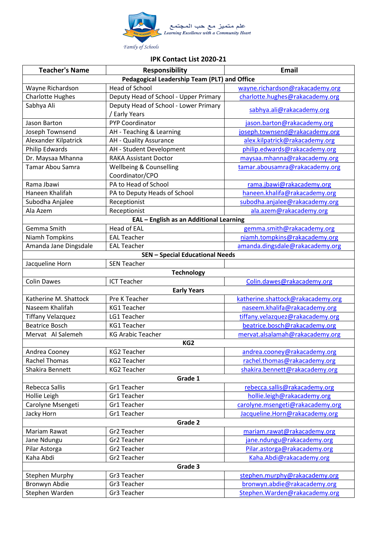

## **IPK Contact List 2020-21**

| <b>Teacher's Name</b>                        | <b>Responsibility</b>                                  | <b>Email</b>                      |  |
|----------------------------------------------|--------------------------------------------------------|-----------------------------------|--|
| Pedagogical Leadership Team (PLT) and Office |                                                        |                                   |  |
| Wayne Richardson                             | <b>Head of School</b>                                  | wayne.richardson@rakacademy.org   |  |
| <b>Charlotte Hughes</b>                      | Deputy Head of School - Upper Primary                  | charlotte.hughes@rakacademy.org   |  |
| Sabhya Ali                                   | Deputy Head of School - Lower Primary<br>/ Early Years | sabhya.ali@rakacademy.org         |  |
| Jason Barton                                 | <b>PYP Coordinator</b>                                 | jason.barton@rakacademy.org       |  |
| Joseph Townsend                              | AH - Teaching & Learning                               | joseph.townsend@rakacademy.org    |  |
| Alexander Kilpatrick                         | AH - Quality Assurance                                 | alex.kilpatrick@rakacademy.org    |  |
| Philip Edwards                               | AH - Student Development                               | philip.edwards@rakacademy.org     |  |
| Dr. Maysaa Mhanna                            | <b>RAKA Assistant Doctor</b>                           | maysaa.mhanna@rakacademy.org      |  |
| Tamar Abou Samra                             | Wellbeing & Counselling                                | tamar.abousamra@rakacademy.org    |  |
|                                              | Coordinator/CPO                                        |                                   |  |
| Rama Jbawi                                   | PA to Head of School                                   | rama.jbawi@rakacademy.org         |  |
| Haneen Khalifah                              | PA to Deputy Heads of School                           | haneen.khalifa@rakacademy.org     |  |
| Subodha Anjalee                              | Receptionist                                           | subodha.anjalee@rakacademy.org    |  |
| Ala Azem                                     | Receptionist                                           | ala.azem@rakacademy.org           |  |
|                                              | EAL - English as an Additional Learning                |                                   |  |
| Gemma Smith                                  | <b>Head of EAL</b>                                     | gemma.smith@rakacademy.org        |  |
| Niamh Tompkins                               | <b>EAL Teacher</b>                                     | niamh.tompkins@rakacademy.org     |  |
| Amanda Jane Dingsdale                        | <b>EAL Teacher</b>                                     | amanda.dingsdale@rakacademy.org   |  |
|                                              | <b>SEN - Special Educational Needs</b>                 |                                   |  |
| Jacqueline Horn                              | <b>SEN Teacher</b>                                     |                                   |  |
|                                              | <b>Technology</b>                                      |                                   |  |
| <b>Colin Dawes</b>                           | <b>ICT Teacher</b>                                     | Colin.dawes@rakacademy.org        |  |
| <b>Early Years</b>                           |                                                        |                                   |  |
| Katherine M. Shattock                        | Pre K Teacher                                          | katherine.shattock@rakacademy.org |  |
| Naseem Khalifah                              | <b>KG1 Teacher</b>                                     | naseem.khalifa@rakacademy.org     |  |
| <b>Tiffany Velazquez</b>                     | LG1 Teacher                                            | tiffany.velazquez@rakacademy.org  |  |
| <b>Beatrice Bosch</b>                        | <b>KG1 Teacher</b>                                     | beatrice.bosch@rakacademy.org     |  |
| Mervat Al Salemeh                            | <b>KG Arabic Teacher</b>                               | mervat.alsalamah@rakacademy.org   |  |
| KG <sub>2</sub>                              |                                                        |                                   |  |
| Andrea Cooney                                | <b>KG2 Teacher</b>                                     | andrea.cooney@rakacademy.org      |  |
| <b>Rachel Thomas</b>                         | <b>KG2 Teacher</b>                                     | rachel.thomas@rakacademy.org      |  |
| Shakira Bennett                              | <b>KG2 Teacher</b>                                     | shakira.bennett@rakacademy.org    |  |
| Grade 1                                      |                                                        |                                   |  |
| Rebecca Sallis                               | Gr1 Teacher                                            | rebecca.sallis@rakacademy.org     |  |
| Hollie Leigh                                 | Gr1 Teacher                                            | hollie.leigh@rakacademy.org       |  |
| Carolyne Msengeti                            | Gr1 Teacher                                            | carolyne.msengeti@rakacademy.org  |  |
| Jacky Horn                                   | Gr1 Teacher                                            | Jacqueline.Horn@rakacademy.org    |  |
| Grade 2                                      |                                                        |                                   |  |
| Mariam Rawat                                 | Gr2 Teacher                                            | mariam.rawat@rakacademy.org       |  |
| Jane Ndungu                                  | Gr2 Teacher                                            | jane.ndungu@rakacademy.org        |  |
| Pilar Astorga                                | Gr2 Teacher                                            | Pilar.astorga@rakacademy.org      |  |
| Kaha Abdi                                    | Gr2 Teacher                                            | Kaha.Abdi@rakacademy.org          |  |
| Grade 3                                      |                                                        |                                   |  |
| <b>Stephen Murphy</b>                        | Gr3 Teacher                                            | stephen.murphy@rakacademy.org     |  |
| Bronwyn Abdie                                | Gr3 Teacher                                            | bronwyn.abdie@rakacademy.org      |  |
| Stephen Warden                               | Gr3 Teacher                                            | Stephen. Warden@rakacademy.org    |  |